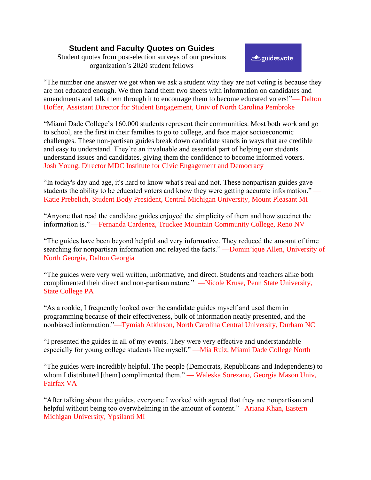## **Student and Faculty Quotes on Guides**

Student quotes from post-election surveys of our previous organization's 2020 student fellows

enguides.vote

"The number one answer we get when we ask a student why they are not voting is because they are not educated enough. We then hand them two sheets with information on candidates and amendments and talk them through it to encourage them to become educated voters!"— Dalton Hoffer, Assistant Director for Student Engagement, Univ of North Carolina Pembroke

"Miami Dade College's 160,000 students represent their communities. Most both work and go to school, are the first in their families to go to college, and face major socioeconomic challenges. These non-partisan guides break down candidate stands in ways that are credible and easy to understand. They're an invaluable and essential part of helping our students understand issues and candidates, giving them the confidence to become informed voters. *—* Josh Young, Director MDC Institute for Civic Engagement and Democracy

"In today's day and age, it's hard to know what's real and not. These nonpartisan guides gave students the ability to be educated voters and know they were getting accurate information." Katie Prebelich, Student Body President, Central Michigan University, Mount Pleasant MI

"Anyone that read the candidate guides enjoyed the simplicity of them and how succinct the information is." —Fernanda Cardenez, Truckee Mountain Community College, Reno NV

"The guides have been beyond helpful and very informative. They reduced the amount of time searching for nonpartisan information and relayed the facts." —Domin'ique Allen, University of North Georgia, Dalton Georgia

"The guides were very well written, informative, and direct. Students and teachers alike both complimented their direct and non-partisan nature." —Nicole Kruse, Penn State University, State College PA

"As a rookie, I frequently looked over the candidate guides myself and used them in programming because of their effectiveness, bulk of information neatly presented, and the nonbiased information."—Tymiah Atkinson, North Carolina Central University, Durham NC

"I presented the guides in all of my events. They were very effective and understandable especially for young college students like myself." —Mia Ruiz, Miami Dade College North

"The guides were incredibly helpful. The people (Democrats, Republicans and Independents) to whom I distributed [them] complimented them." — Waleska Sorezano, Georgia Mason Univ, Fairfax VA

"After talking about the guides, everyone I worked with agreed that they are nonpartisan and helpful without being too overwhelming in the amount of content." –Ariana Khan, Eastern Michigan University, Ypsilanti MI